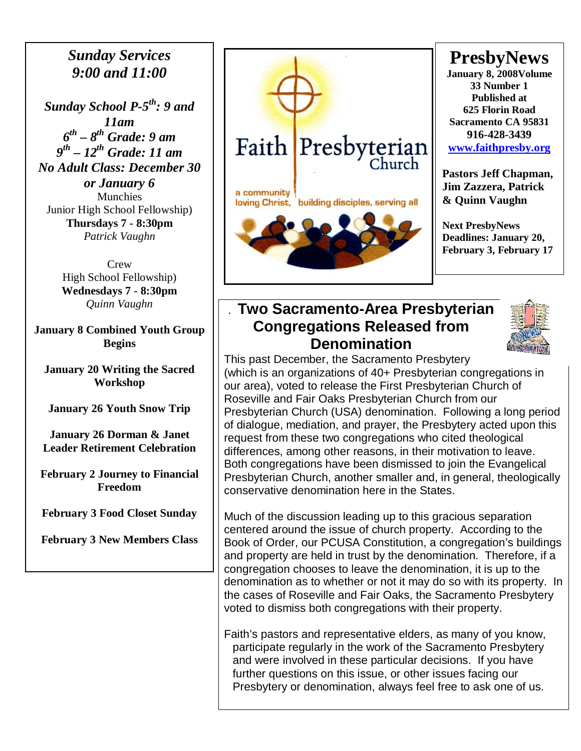#### *Sunday Services 9:00 and 11:00*

*Sunday School P-5th: 9 and 11am 6 th – 8th Grade: 9 am 9 th – 12th Grade: 11 am No Adult Class: December 30 or January 6*  Munchies Junior High School Fellowship) **Thursdays 7 - 8:30pm**  *Patrick Vaughn* 

> **Crew** High School Fellowship) **Wednesdays 7 - 8:30pm**  *Quinn Vaughn*

**January 8 Combined Youth Group Begins** 

**January 20 Writing the Sacred Workshop** 

**January 26 Youth Snow Trip** 

**January 26 Dorman & Janet Leader Retirement Celebration** 

**February 2 Journey to Financial Freedom** 

**February 3 Food Closet Sunday** 

**February 3 New Members Class** 



## **PresbyNews**

**January 8, 2008Volume 33 Number 1 Published at 625 Florin Road Sacramento CA 95831 916-428-3439 [www.faithpresby.org](http://www.faithpresby.org/)**

**Pastors Jeff Chapman, Jim Zazzera, Patrick & Quinn Vaughn** 

**Next PresbyNews Deadlines: January 20, February 3, February 17** 

#### . **Two Sacramento-Area Presbyterian Congregations Released from Denomination**



This past December, the Sacramento Presbytery (which is an organizations of 40+ Presbyterian congregations in our area), voted to release the First Presbyterian Church of Roseville and Fair Oaks Presbyterian Church from our Presbyterian Church (USA) denomination. Following a long period of dialogue, mediation, and prayer, the Presbytery acted upon this request from these two congregations who cited theological differences, among other reasons, in their motivation to leave. Both congregations have been dismissed to join the Evangelical Presbyterian Church, another smaller and, in general, theologically conservative denomination here in the States.

Much of the discussion leading up to this gracious separation centered around the issue of church property. According to the Book of Order, our PCUSA Constitution, a congregation's buildings and property are held in trust by the denomination. Therefore, if a congregation chooses to leave the denomination, it is up to the denomination as to whether or not it may do so with its property. In the cases of Roseville and Fair Oaks, the Sacramento Presbytery voted to dismiss both congregations with their property.

Faith's pastors and representative elders, as many of you know, participate regularly in the work of the Sacramento Presbytery and were involved in these particular decisions. If you have further questions on this issue, or other issues facing our Presbytery or denomination, always feel free to ask one of us.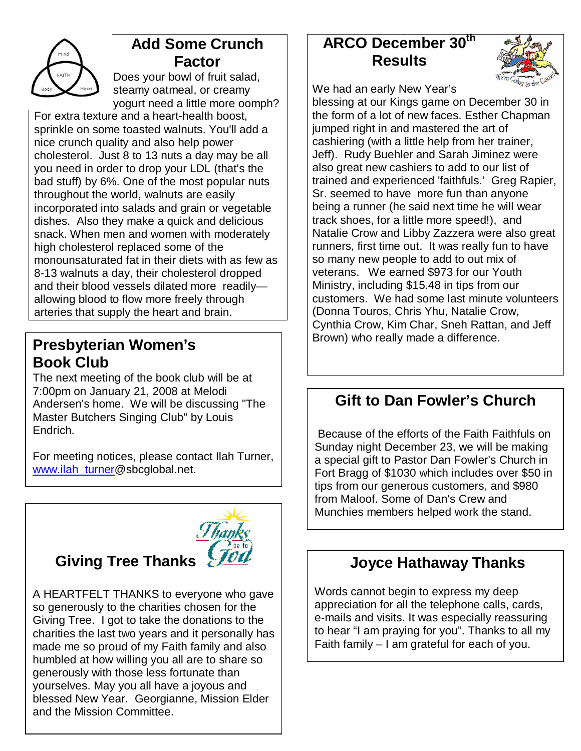

## **Add Some Crunch Factor**

Does your bowl of fruit salad, steamy oatmeal, or creamy yogurt need a little more oomph?

For extra texture and a heart-health boost, sprinkle on some toasted walnuts. You'll add a nice crunch quality and also help power cholesterol. Just 8 to 13 nuts a day may be all you need in order to drop your LDL (that's the bad stuff) by 6%. One of the most popular nuts throughout the world, walnuts are easily incorporated into salads and grain or vegetable dishes. Also they make a quick and delicious snack. When men and women with moderately high cholesterol replaced some of the monounsaturated fat in their diets with as few as 8-13 walnuts a day, their cholesterol dropped and their blood vessels dilated more readily allowing blood to flow more freely through arteries that supply the heart and brain.

## **Presbyterian Women's Presbyterian Women's Presbyterian Women's Book Club**

The next meeting of the book club will be at 7:00pm on January 21, 2008 at Melodi Andersen's home. We will be discussing "The Master Butchers Singing Club" by Louis Endrich.

For meeting notices, please contact Ilah Turner, [www.ilah\\_turner@sbcglobal.net.](http://www.ilah_turner/)

# **Giving Tree Thanks**



A HEARTFELT THANKS to everyone who gave so generously to the charities chosen for the Giving Tree. I got to take the donations to the charities the last two years and it personally has made me so proud of my Faith family and also humbled at how willing you all are to share so generously with those less fortunate than yourselves. May you all have a joyous and blessed New Year. Georgianne, Mission Elder and the Mission Committee.

## **ARCO December 30th Results**



We had an early New Year's

blessing at our Kings game on December 30 in the form of a lot of new faces. Esther Chapman jumped right in and mastered the art of cashiering (with a little help from her trainer, Jeff). Rudy Buehler and Sarah Jiminez were also great new cashiers to add to our list of trained and experienced 'faithfuls.' Greg Rapier, Sr. seemed to have more fun than anyone being a runner (he said next time he will wear track shoes, for a little more speed!), and Natalie Crow and Libby Zazzera were also great runners, first time out. It was really fun to have so many new people to add to out mix of veterans. We earned \$973 for our Youth Ministry, including \$15.48 in tips from our customers. We had some last minute volunteers (Donna Touros, Chris Yhu, Natalie Crow, Cynthia Crow, Kim Char, Sneh Rattan, and Jeff

## **Gift to Dan Fowler's Church**

 Because of the efforts of the Faith Faithfuls on Sunday night December 23, we will be making a special gift to Pastor Dan Fowler's Church in Fort Bragg of \$1030 which includes over \$50 in tips from our generous customers, and \$980 from Maloof. Some of Dan's Crew and Munchies members helped work the stand.

## **Joyce Hathaway Thanks**

Words cannot begin to express my deep appreciation for all the telephone calls, cards, e-mails and visits. It was especially reassuring to hear "I am praying for you". Thanks to all my Faith family – I am grateful for each of you.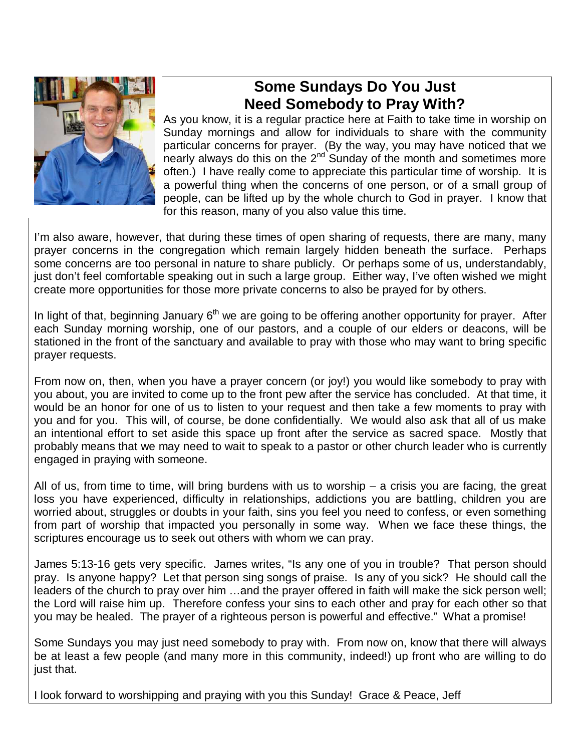

## **Some Sundays Do You Just Need Somebody to Pray With?**

As you know, it is a regular practice here at Faith to take time in worship on Sunday mornings and allow for individuals to share with the community particular concerns for prayer. (By the way, you may have noticed that we nearly always do this on the  $2^{nd}$  Sunday of the month and sometimes more often.) I have really come to appreciate this particular time of worship. It is a powerful thing when the concerns of one person, or of a small group of people, can be lifted up by the whole church to God in prayer. I know that for this reason, many of you also value this time.

I'm also aware, however, that during these times of open sharing of requests, there are many, many prayer concerns in the congregation which remain largely hidden beneath the surface. Perhaps some concerns are too personal in nature to share publicly. Or perhaps some of us, understandably, just don't feel comfortable speaking out in such a large group. Either way, I've often wished we might create more opportunities for those more private concerns to also be prayed for by others.

In light of that, beginning January  $6<sup>th</sup>$  we are going to be offering another opportunity for prayer. After each Sunday morning worship, one of our pastors, and a couple of our elders or deacons, will be stationed in the front of the sanctuary and available to pray with those who may want to bring specific prayer requests.

From now on, then, when you have a prayer concern (or joy!) you would like somebody to pray with you about, you are invited to come up to the front pew after the service has concluded. At that time, it would be an honor for one of us to listen to your request and then take a few moments to pray with you and for you. This will, of course, be done confidentially. We would also ask that all of us make an intentional effort to set aside this space up front after the service as sacred space. Mostly that probably means that we may need to wait to speak to a pastor or other church leader who is currently engaged in praying with someone.

All of us, from time to time, will bring burdens with us to worship  $-$  a crisis you are facing, the great loss you have experienced, difficulty in relationships, addictions you are battling, children you are worried about, struggles or doubts in your faith, sins you feel you need to confess, or even something from part of worship that impacted you personally in some way. When we face these things, the scriptures encourage us to seek out others with whom we can pray.

James 5:13-16 gets very specific. James writes, "Is any one of you in trouble? That person should pray. Is anyone happy? Let that person sing songs of praise. Is any of you sick? He should call the leaders of the church to pray over him …and the prayer offered in faith will make the sick person well; the Lord will raise him up. Therefore confess your sins to each other and pray for each other so that you may be healed. The prayer of a righteous person is powerful and effective." What a promise!

Some Sundays you may just need somebody to pray with. From now on, know that there will always be at least a few people (and many more in this community, indeed!) up front who are willing to do just that.

I look forward to worshipping and praying with you this Sunday! Grace & Peace, Jeff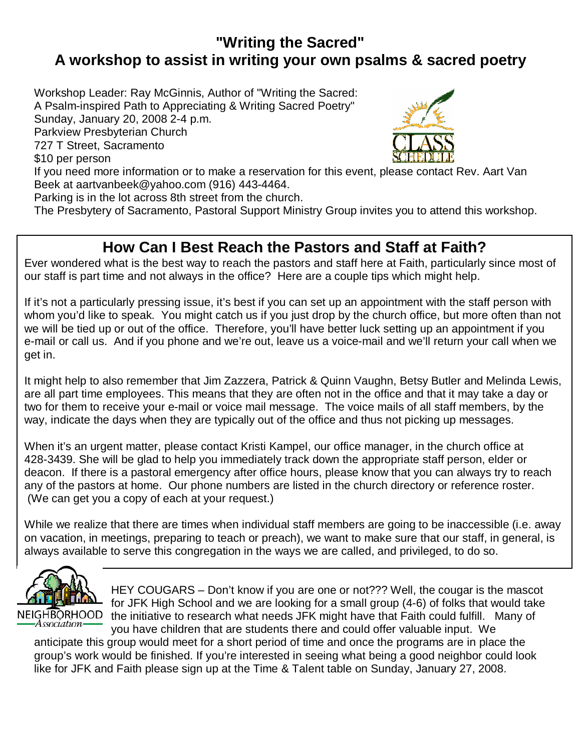## **"Writing the Sacred" A workshop to assist in writing your own psalms & sacred poetry**

Workshop Leader: Ray McGinnis, Author of "Writing the Sacred: A Psalm-inspired Path to Appreciating & Writing Sacred Poetry" Sunday, January 20, 2008 2-4 p.m. Parkview Presbyterian Church 727 T Street, Sacramento \$10 per person If you need more information or to make a reservation for this event, please contact Rev. Aart Van Beek at aartvanbeek@yahoo.com (916) 443-4464.

Parking is in the lot across 8th street from the church.

The Presbytery of Sacramento, Pastoral Support Ministry Group invites you to attend this workshop.

#### **How Can I Best Reach the Pastors and Staff at Faith?**

 Ever wondered what is the best way to reach the pastors and staff here at Faith, particularly since most of our staff is part time and not always in the office? Here are a couple tips which might help.

 If it's not a particularly pressing issue, it's best if you can set up an appointment with the staff person with whom you'd like to speak. You might catch us if you just drop by the church office, but more often than not<br>we will be tied up or out of the office. Therefore, you'll have better luck setting up an appointment if you e-mail or call us. And if you phone and we're out, leave us a voice-mail and we'll return your call when we we will be tied up or out of the office. Therefore, you'll have better luck setting up an appointment if you get in.

 It might help to also remember that Jim Zazzera, Patrick & Quinn Vaughn, Betsy Butler and Melinda Lewis, are all part time employees. This means that they are often not in the office and that it may take a day or<br>two for them to receive your e-mail or voice mail message. The voice mails of all staff members, by the way, indicate the days when they are typically out of the office and thus not picking up messages. are all part time employees. This means that they are often not in the office and that it may take a day or

 When it's an urgent matter, please contact Kristi Kampel, our office manager, in the church office at 428-3439. She will be glad to help you immediately track down the appropriate staff person, elder or deacon. If there is a pastoral emergency after office hours, please know that you can always try to reach any of the pastors at home. Our phone numbers are listed in the church directory or reference roster. (We can get you a copy of each at your request.)

IFFIRE THE COMPT WAT THE STREW THE THIGH THE TEACH ORDITIONS ON SPITTS TO THE COUNTROL (THE CITY)<br>On vacation, in meetings, preparing to teach or preach), we want to make sure that our staff, in general, is While we realize that there are times when individual staff members are going to be inaccessible (i.e. away always available to serve this congregation in the ways we are called, and privileged, to do so.



HEY COUGARS – Don't know if you are one or not??? Well, the cougar is the mascot for JFK High School and we are looking for a small group (4-6) of folks that would take the initiative to research what needs JFK might have that Faith could fulfill. Many of you have children that are students there and could offer valuable input. We

anticipate this group would meet for a short period of time and once the programs are in place the group's work would be finished. If you're interested in seeing what being a good neighbor could look like for JFK and Faith please sign up at the Time & Talent table on Sunday, January 27, 2008.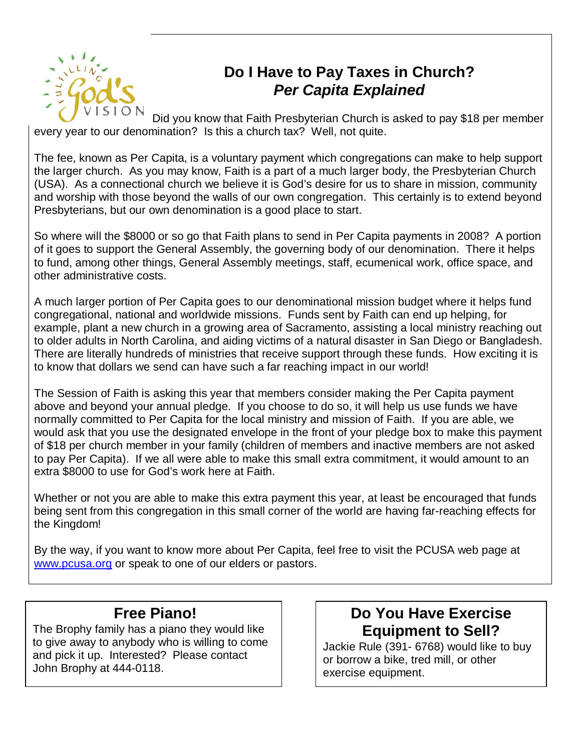

## **Do I Have to Pay Taxes in Church? Per Capita Explained**

Did you know that Faith Presbyterian Church is asked to pay \$18 per member every year to our denomination? Is this a church tax? Well, not quite.

The fee, known as Per Capita, is a voluntary payment which congregations can make to help support the larger church. As you may know, Faith is a part of a much larger body, the Presbyterian Church (USA). As a connectional church we believe it is God's desire for us to share in mission, community and worship with those beyond the walls of our own congregation. This certainly is to extend beyond Presbyterians, but our own denomination is a good place to start.

So where will the \$8000 or so go that Faith plans to send in Per Capita payments in 2008? A portion of it goes to support the General Assembly, the governing body of our denomination. There it helps to fund, among other things, General Assembly meetings, staff, ecumenical work, office space, and other administrative costs.

A much larger portion of Per Capita goes to our denominational mission budget where it helps fund congregational, national and worldwide missions. Funds sent by Faith can end up helping, for example, plant a new church in a growing area of Sacramento, assisting a local ministry reaching out to older adults in North Carolina, and aiding victims of a natural disaster in San Diego or Bangladesh. There are literally hundreds of ministries that receive support through these funds. How exciting it is to know that dollars we send can have such a far reaching impact in our world!

The Session of Faith is asking this year that members consider making the Per Capita payment above and beyond your annual pledge. If you choose to do so, it will help us use funds we have normally committed to Per Capita for the local ministry and mission of Faith. If you are able, we would ask that you use the designated envelope in the front of your pledge box to make this payment of \$18 per church member in your family (children of members and inactive members are not asked to pay Per Capita). If we all were able to make this small extra commitment, it would amount to an extra \$8000 to use for God's work here at Faith.

Whether or not you are able to make this extra payment this year, at least be encouraged that funds being sent from this congregation in this small corner of the world are having far-reaching effects for the Kingdom!

By the way, if you want to know more about Per Capita, feel free to visit the PCUSA web page at [www.pcusa.org or speak to one of our elders or pastors.](http://www.pcusa.org/)

#### **Free Piano!**

The Brophy family has a piano they would like to give away to anybody who is willing to come and pick it up. Interested? Please contact John Brophy at 444-0118.

#### **Do You Have Exercise Equipment to Sell?**

Jackie Rule (391- 6768) would like to buy or borrow a bike, tred mill, or other exercise equipment.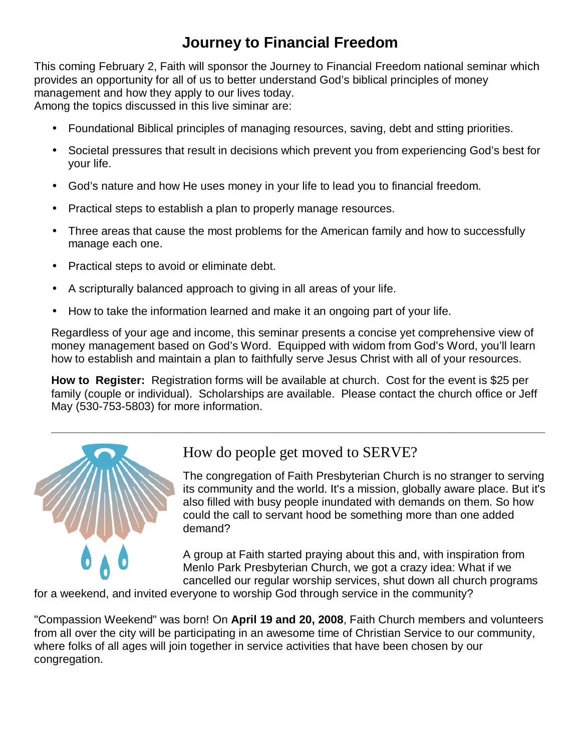## **Journey to Financial Freedom**

This coming February 2, Faith will sponsor the Journey to Financial Freedom national seminar which provides an opportunity for all of us to better understand God's biblical principles of money management and how they apply to our lives today. Among the topics discussed in this live siminar are:

- Foundational Biblical principles of managing resources, saving, debt and stting priorities.
- Societal pressures that result in decisions which prevent you from experiencing God's best for your life.
- God's nature and how He uses money in your life to lead you to financial freedom.
- Practical steps to establish a plan to properly manage resources.
- Three areas that cause the most problems for the American family and how to successfully manage each one.
- Practical steps to avoid or eliminate debt.
- A scripturally balanced approach to giving in all areas of your life.
- How to take the information learned and make it an ongoing part of your life.

Regardless of your age and income, this seminar presents a concise yet comprehensive view of money management based on God's Word. Equipped with widom from God's Word, you'll learn how to establish and maintain a plan to faithfully serve Jesus Christ with all of your resources.

**How to Register:** Registration forms will be available at church. Cost for the event is \$25 per family (couple or individual). Scholarships are available. Please contact the church office or Jeff May (530-753-5803) for more information.



#### How do people get moved to SERVE?

The congregation of Faith Presbyterian Church is no stranger to serving its community and the world. It's a mission, globally aware place. But it's also filled with busy people inundated with demands on them. So how could the call to servant hood be something more than one added demand?

A group at Faith started praying about this and, with inspiration from Menlo Park Presbyterian Church, we got a crazy idea: What if we cancelled our regular worship services, shut down all church programs

for a weekend, and invited everyone to worship God through service in the community?

"Compassion Weekend" was born! On **April 19 and 20, 2008**, Faith Church members and volunteers from all over the city will be participating in an awesome time of Christian Service to our community, where folks of all ages will join together in service activities that have been chosen by our congregation.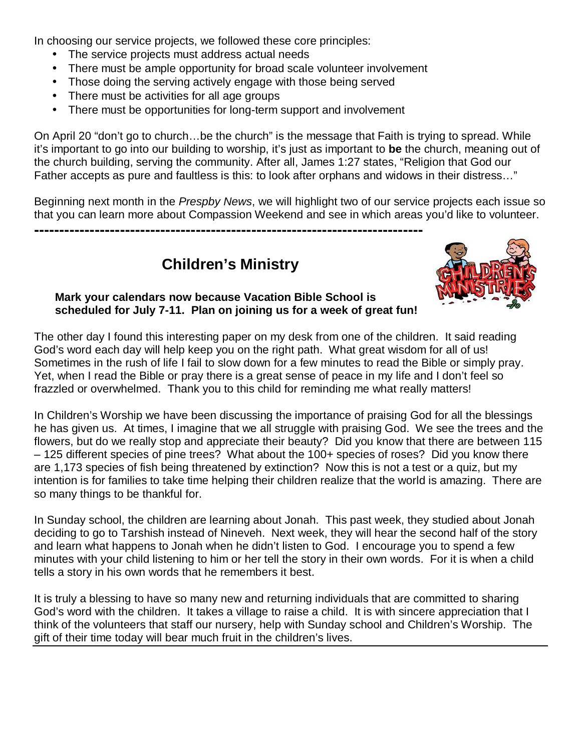In choosing our service projects, we followed these core principles:

- The service projects must address actual needs
- There must be ample opportunity for broad scale volunteer involvement
- Those doing the serving actively engage with those being served
- There must be activities for all age groups
- There must be opportunities for long-term support and involvement

On April 20 "don't go to church…be the church" is the message that Faith is trying to spread. While it's important to go into our building to worship, it's just as important to **be** the church, meaning out of the church building, serving the community. After all, James 1:27 states, "Religion that God our Father accepts as pure and faultless is this: to look after orphans and widows in their distress…"

Beginning next month in the *Prespby News*, we will highlight two of our service projects each issue so that you can learn more about Compassion Weekend and see in which areas you'd like to volunteer.

**Children's Ministry** 

**-----------------------------------------------------------------------------** 



#### **Mark your calendars now because Vacation Bible School is scheduled for July 7-11. Plan on joining us for a week of great fun!**

The other day I found this interesting paper on my desk from one of the children. It said reading God's word each day will help keep you on the right path. What great wisdom for all of us! Sometimes in the rush of life I fail to slow down for a few minutes to read the Bible or simply pray. Yet, when I read the Bible or pray there is a great sense of peace in my life and I don't feel so frazzled or overwhelmed. Thank you to this child for reminding me what really matters!

In Children's Worship we have been discussing the importance of praising God for all the blessings he has given us. At times, I imagine that we all struggle with praising God. We see the trees and the flowers, but do we really stop and appreciate their beauty? Did you know that there are between 115 – 125 different species of pine trees? What about the 100+ species of roses? Did you know there are 1,173 species of fish being threatened by extinction? Now this is not a test or a quiz, but my intention is for families to take time helping their children realize that the world is amazing. There are so many things to be thankful for.

In Sunday school, the children are learning about Jonah. This past week, they studied about Jonah deciding to go to Tarshish instead of Nineveh. Next week, they will hear the second half of the story and learn what happens to Jonah when he didn't listen to God. I encourage you to spend a few minutes with your child listening to him or her tell the story in their own words. For it is when a child tells a story in his own words that he remembers it best.

It is truly a blessing to have so many new and returning individuals that are committed to sharing God's word with the children. It takes a village to raise a child. It is with sincere appreciation that I think of the volunteers that staff our nursery, help with Sunday school and Children's Worship. The gift of their time today will bear much fruit in the children's lives.